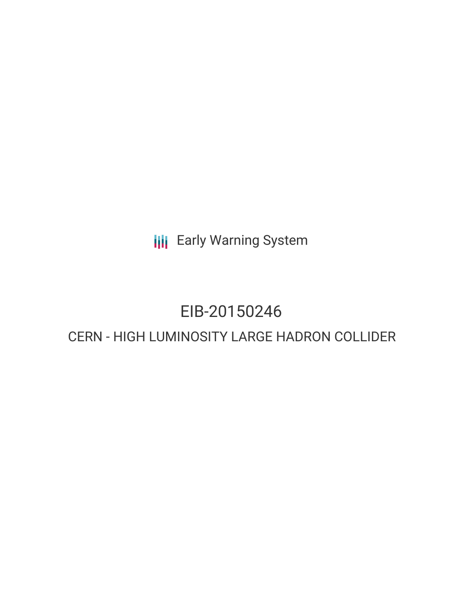**III** Early Warning System

# EIB-20150246

# CERN - HIGH LUMINOSITY LARGE HADRON COLLIDER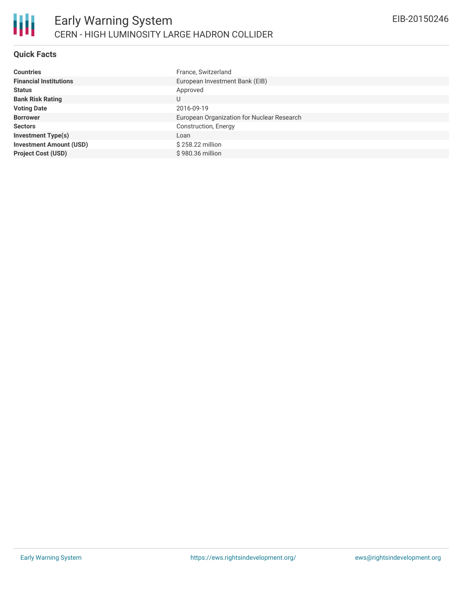

## **Quick Facts**

| <b>Countries</b>               | France, Switzerland                        |
|--------------------------------|--------------------------------------------|
| <b>Financial Institutions</b>  | European Investment Bank (EIB)             |
| <b>Status</b>                  | Approved                                   |
| <b>Bank Risk Rating</b>        | U                                          |
| <b>Voting Date</b>             | 2016-09-19                                 |
| <b>Borrower</b>                | European Organization for Nuclear Research |
| <b>Sectors</b>                 | Construction, Energy                       |
| <b>Investment Type(s)</b>      | Loan                                       |
| <b>Investment Amount (USD)</b> | \$258.22 million                           |
| <b>Project Cost (USD)</b>      | \$980.36 million                           |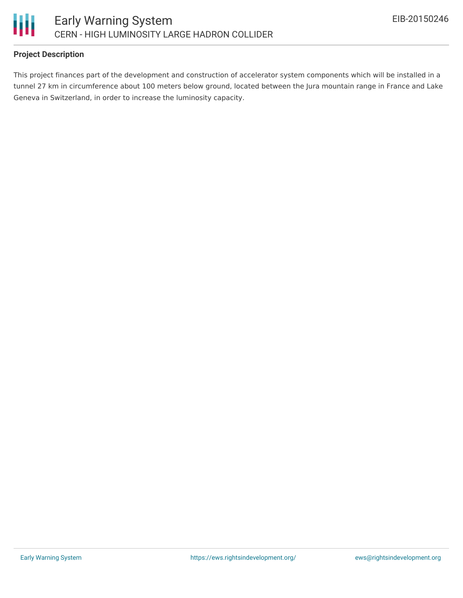

## **Project Description**

This project finances part of the development and construction of accelerator system components which will be installed in a tunnel 27 km in circumference about 100 meters below ground, located between the Jura mountain range in France and Lake Geneva in Switzerland, in order to increase the luminosity capacity.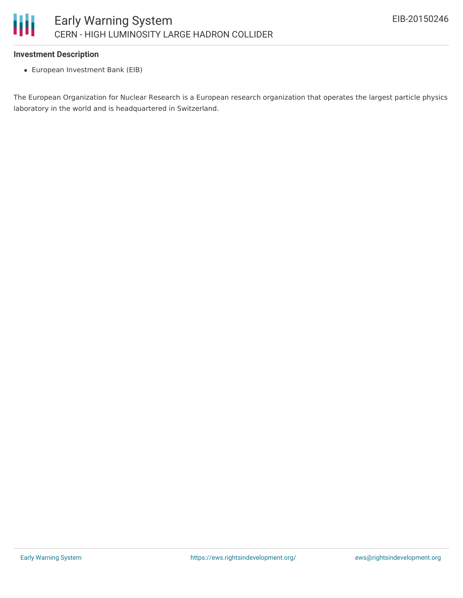

#### **Investment Description**

European Investment Bank (EIB)

The European Organization for Nuclear Research is a European research organization that operates the largest particle physics laboratory in the world and is headquartered in Switzerland.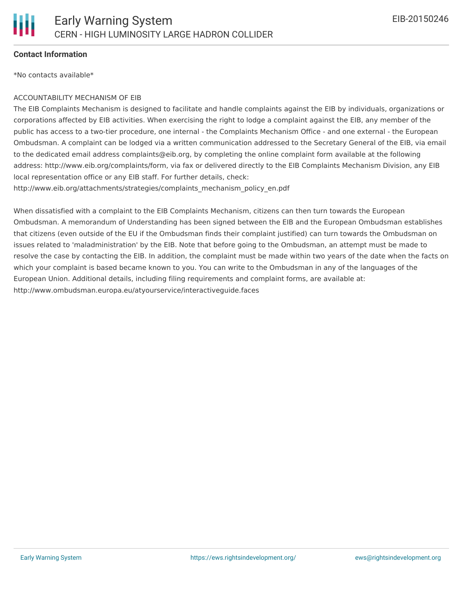

#### **Contact Information**

\*No contacts available\*

#### ACCOUNTABILITY MECHANISM OF EIB

The EIB Complaints Mechanism is designed to facilitate and handle complaints against the EIB by individuals, organizations or corporations affected by EIB activities. When exercising the right to lodge a complaint against the EIB, any member of the public has access to a two-tier procedure, one internal - the Complaints Mechanism Office - and one external - the European Ombudsman. A complaint can be lodged via a written communication addressed to the Secretary General of the EIB, via email to the dedicated email address complaints@eib.org, by completing the online complaint form available at the following address: http://www.eib.org/complaints/form, via fax or delivered directly to the EIB Complaints Mechanism Division, any EIB local representation office or any EIB staff. For further details, check:

http://www.eib.org/attachments/strategies/complaints\_mechanism\_policy\_en.pdf

When dissatisfied with a complaint to the EIB Complaints Mechanism, citizens can then turn towards the European Ombudsman. A memorandum of Understanding has been signed between the EIB and the European Ombudsman establishes that citizens (even outside of the EU if the Ombudsman finds their complaint justified) can turn towards the Ombudsman on issues related to 'maladministration' by the EIB. Note that before going to the Ombudsman, an attempt must be made to resolve the case by contacting the EIB. In addition, the complaint must be made within two years of the date when the facts on which your complaint is based became known to you. You can write to the Ombudsman in any of the languages of the European Union. Additional details, including filing requirements and complaint forms, are available at: http://www.ombudsman.europa.eu/atyourservice/interactiveguide.faces